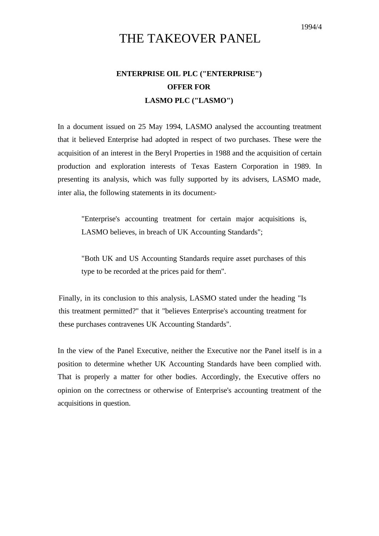# THE TAKEOVER PANEL

# **ENTERPRISE OIL PLC ("ENTERPRISE") OFFER FOR LASMO PLC ("LASMO")**

In a document issued on 25 May 1994, LASMO analysed the accounting treatment that it believed Enterprise had adopted in respect of two purchases. These were the acquisition of an interest in the Beryl Properties in 1988 and the acquisition of certain production and exploration interests of Texas Eastern Corporation in 1989. In presenting its analysis, which was fully supported by its advisers, LASMO made, inter alia, the following statements in its document:-

"Enterprise's accounting treatment for certain major acquisitions is, LASMO believes, in breach of UK Accounting Standards";

"Both UK and US Accounting Standards require asset purchases of this type to be recorded at the prices paid for them".

Finally, in its conclusion to this analysis, LASMO stated under the heading "Is this treatment permitted?" that it "believes Enterprise's accounting treatment for these purchases contravenes UK Accounting Standards".

In the view of the Panel Executive, neither the Executive nor the Panel itself is in a position to determine whether UK Accounting Standards have been complied with. That is properly a matter for other bodies. Accordingly, the Executive offers no opinion on the correctness or otherwise of Enterprise's accounting treatment of the acquisitions in question.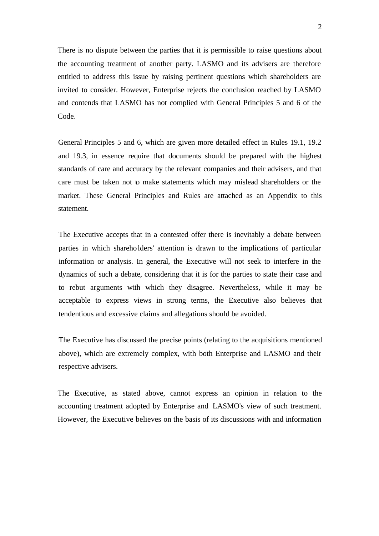There is no dispute between the parties that it is permissible to raise questions about the accounting treatment of another party. LASMO and its advisers are therefore entitled to address this issue by raising pertinent questions which shareholders are invited to consider. However, Enterprise rejects the conclusion reached by LASMO and contends that LASMO has not complied with General Principles 5 and 6 of the Code.

General Principles 5 and 6, which are given more detailed effect in Rules 19.1, 19.2 and 19.3, in essence require that documents should be prepared with the highest standards of care and accuracy by the relevant companies and their advisers, and that care must be taken not to make statements which may mislead shareholders or the market. These General Principles and Rules are attached as an Appendix to this statement.

The Executive accepts that in a contested offer there is inevitably a debate between parties in which shareholders' attention is drawn to the implications of particular information or analysis. In general, the Executive will not seek to interfere in the dynamics of such a debate, considering that it is for the parties to state their case and to rebut arguments with which they disagree. Nevertheless, while it may be acceptable to express views in strong terms, the Executive also believes that tendentious and excessive claims and allegations should be avoided.

The Executive has discussed the precise points (relating to the acquisitions mentioned above), which are extremely complex, with both Enterprise and LASMO and their respective advisers.

The Executive, as stated above, cannot express an opinion in relation to the accounting treatment adopted by Enterprise and LASMO's view of such treatment. However, the Executive believes on the basis of its discussions with and information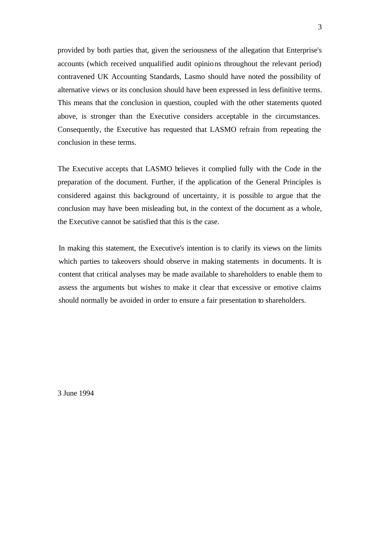provided by both parties that, given the seriousness of the allegation that Enterprise's accounts (which received unqualified audit opinions throughout the relevant period) contravened UK Accounting Standards, Lasmo should have noted the possibility of alternative views or its conclusion should have been expressed in less definitive terms. This means that the conclusion in question, coupled with the other statements quoted above, is stronger than the Executive considers acceptable in the circumstances. Consequently, the Executive has requested that LASMO refrain from repeating the conclusion in these terms.

The Executive accepts that LASMO believes it complied fully with the Code in the preparation of the document. Further, if the application of the General Principles is considered against this background of uncertainty, it is possible to argue that the conclusion may have been misleading but, in the context of the document as a whole, the Executive cannot be satisfied that this is the case.

In making this statement, the Executive's intention is to clarify its views on the limits which parties to takeovers should observe in making statements in documents. It is content that critical analyses may be made available to shareholders to enable them to assess the arguments but wishes to make it clear that excessive or emotive claims should normally be avoided in order to ensure a fair presentation to shareholders.

3 June 1994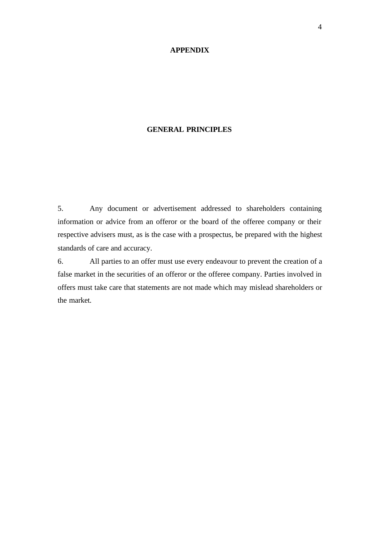#### **APPENDIX**

### **GENERAL PRINCIPLES**

5. Any document or advertisement addressed to shareholders containing information or advice from an offeror or the board of the offeree company or their respective advisers must, as is the case with a prospectus, be prepared with the highest standards of care and accuracy.

6. All parties to an offer must use every endeavour to prevent the creation of a false market in the securities of an offeror or the offeree company. Parties involved in offers must take care that statements are not made which may mislead shareholders or the market.